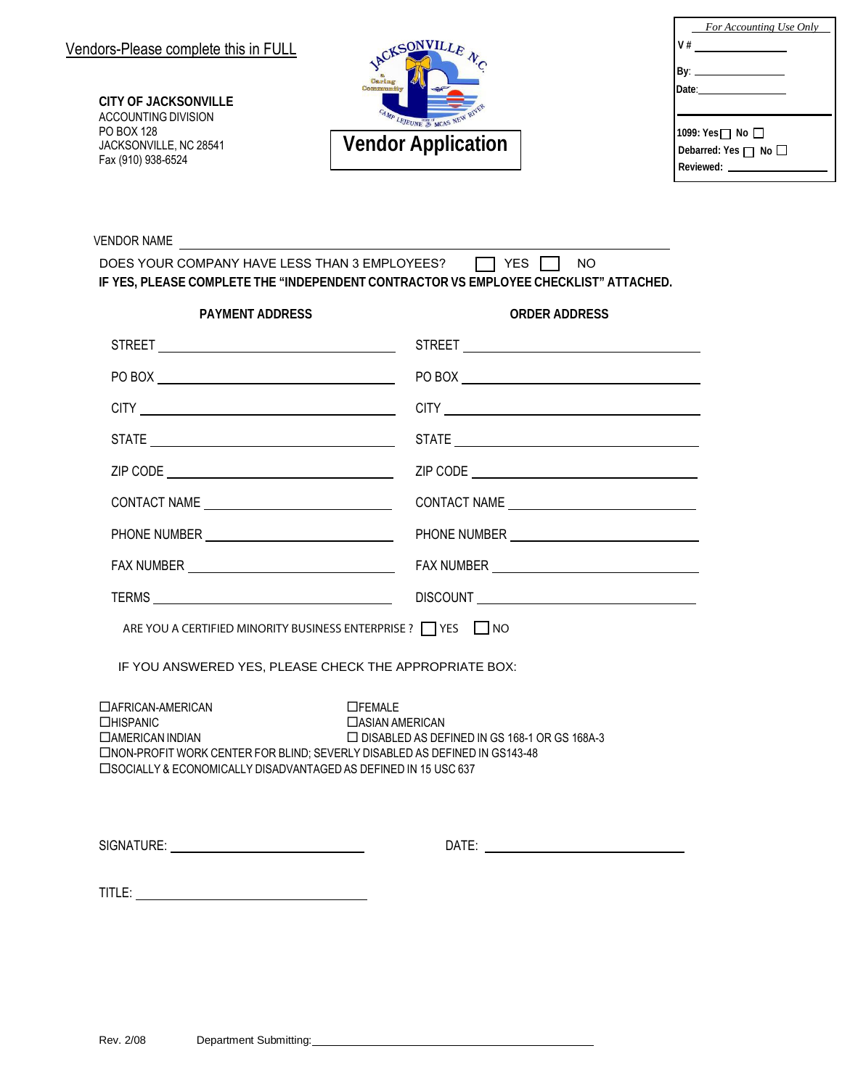**CITY OF JACKSONVILLE** ACCOUNTING DIVISION PO BOX 128 JACKSONVILLE, NC 28541 Fax (910) 938-6524



| For Accounting Use Only |
|-------------------------|
|                         |
|                         |
|                         |
|                         |
|                         |
|                         |
|                         |
|                         |

VENDOR NAME

| DOES YOUR COMPANY HAVE LESS THAN 3 EMPLOYEES?                                        | $\Box$ YES $\Box$ NO |  |  |
|--------------------------------------------------------------------------------------|----------------------|--|--|
| IF YES. PLEASE COMPLETE THE "INDEPENDENT CONTRACTOR VS EMPLOYEE CHECKLIST" ATTACHED. |                      |  |  |

| <b>PAYMENT ADDRESS</b>                                                                                                                                                                                                                                                                                     | <b>ORDER ADDRESS</b>                                                                                                                                                                                                           |  |  |  |  |
|------------------------------------------------------------------------------------------------------------------------------------------------------------------------------------------------------------------------------------------------------------------------------------------------------------|--------------------------------------------------------------------------------------------------------------------------------------------------------------------------------------------------------------------------------|--|--|--|--|
|                                                                                                                                                                                                                                                                                                            |                                                                                                                                                                                                                                |  |  |  |  |
|                                                                                                                                                                                                                                                                                                            |                                                                                                                                                                                                                                |  |  |  |  |
|                                                                                                                                                                                                                                                                                                            |                                                                                                                                                                                                                                |  |  |  |  |
|                                                                                                                                                                                                                                                                                                            |                                                                                                                                                                                                                                |  |  |  |  |
|                                                                                                                                                                                                                                                                                                            |                                                                                                                                                                                                                                |  |  |  |  |
|                                                                                                                                                                                                                                                                                                            | CONTACT NAME                                                                                                                                                                                                                   |  |  |  |  |
|                                                                                                                                                                                                                                                                                                            |                                                                                                                                                                                                                                |  |  |  |  |
|                                                                                                                                                                                                                                                                                                            |                                                                                                                                                                                                                                |  |  |  |  |
|                                                                                                                                                                                                                                                                                                            |                                                                                                                                                                                                                                |  |  |  |  |
| ARE YOU A CERTIFIED MINORITY BUSINESS ENTERPRISE ? THES NO                                                                                                                                                                                                                                                 |                                                                                                                                                                                                                                |  |  |  |  |
| IF YOU ANSWERED YES, PLEASE CHECK THE APPROPRIATE BOX:                                                                                                                                                                                                                                                     |                                                                                                                                                                                                                                |  |  |  |  |
| □ AFRICAN-AMERICAN<br>$\Box$ FEMALE<br><b>CHISPANIC</b><br>□ ASIAN AMERICAN<br>□ DISABLED AS DEFINED IN GS 168-1 OR GS 168A-3<br><b>CAMERICAN INDIAN</b><br>□NON-PROFIT WORK CENTER FOR BLIND; SEVERLY DISABLED AS DEFINED IN GS143-48<br>□ SOCIALLY & ECONOMICALLY DISADVANTAGED AS DEFINED IN 15 USC 637 |                                                                                                                                                                                                                                |  |  |  |  |
| SIGNATURE: _________________________________                                                                                                                                                                                                                                                               | DATE: the contract of the contract of the contract of the contract of the contract of the contract of the contract of the contract of the contract of the contract of the contract of the contract of the contract of the cont |  |  |  |  |

| I |  |
|---|--|
|   |  |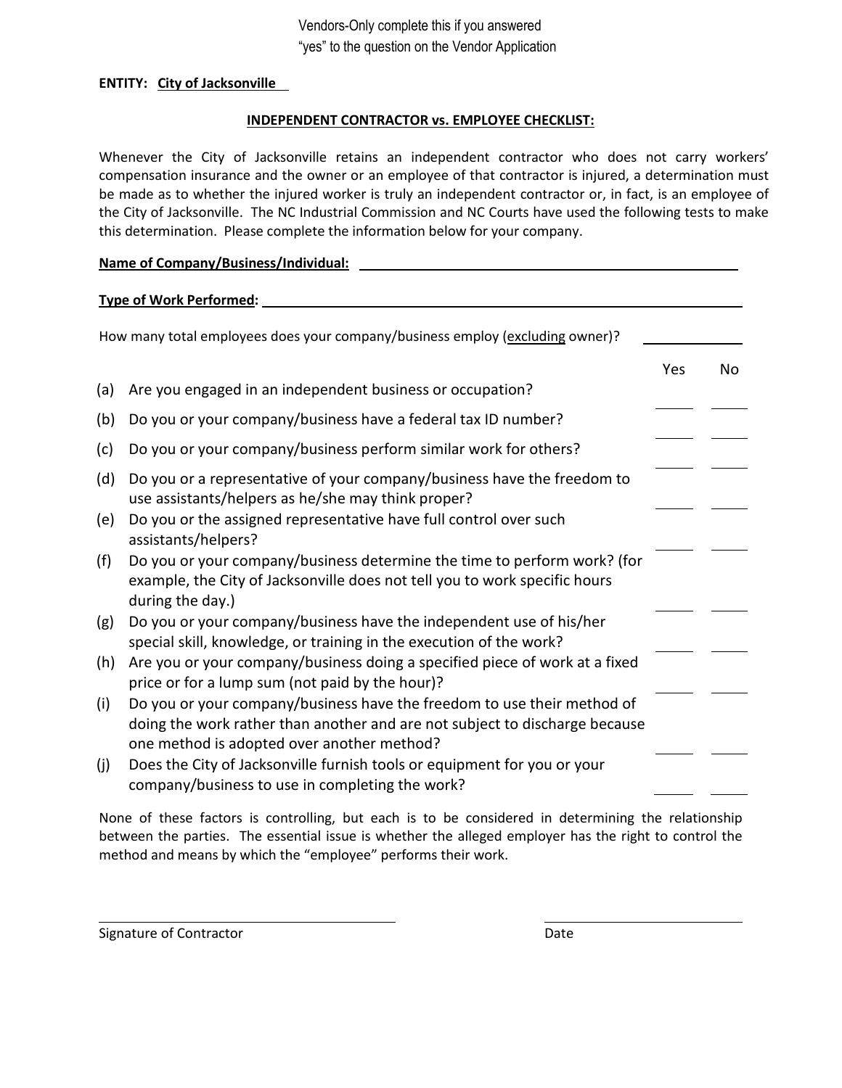# **ENTITY: City of Jacksonville**

# **INDEPENDENT CONTRACTOR vs. EMPLOYEE CHECKLIST:**

Whenever the City of Jacksonville retains an independent contractor who does not carry workers' compensation insurance and the owner or an employee of that contractor is injured, a determination must be made as to whether the injured worker is truly an independent contractor or, in fact, is an employee of the City of Jacksonville. The NC Industrial Commission and NC Courts have used the following tests to make this determination. Please complete the information below for your company.

# **Name of Company/Business/Individual:** \_\_\_\_\_\_

# **Type of Work Performed:**

|     | How many total employees does your company/business employ (excluding owner)?                                                                                                                        |     |    |
|-----|------------------------------------------------------------------------------------------------------------------------------------------------------------------------------------------------------|-----|----|
|     |                                                                                                                                                                                                      | Yes | No |
| (a) | Are you engaged in an independent business or occupation?                                                                                                                                            |     |    |
| (b) | Do you or your company/business have a federal tax ID number?                                                                                                                                        |     |    |
| (c) | Do you or your company/business perform similar work for others?                                                                                                                                     |     |    |
| (d) | Do you or a representative of your company/business have the freedom to<br>use assistants/helpers as he/she may think proper?                                                                        |     |    |
| (e) | Do you or the assigned representative have full control over such<br>assistants/helpers?                                                                                                             |     |    |
| (f) | Do you or your company/business determine the time to perform work? (for<br>example, the City of Jacksonville does not tell you to work specific hours<br>during the day.)                           |     |    |
| (g) | Do you or your company/business have the independent use of his/her<br>special skill, knowledge, or training in the execution of the work?                                                           |     |    |
| (h) | Are you or your company/business doing a specified piece of work at a fixed<br>price or for a lump sum (not paid by the hour)?                                                                       |     |    |
| (i) | Do you or your company/business have the freedom to use their method of<br>doing the work rather than another and are not subject to discharge because<br>one method is adopted over another method? |     |    |
| (j) | Does the City of Jacksonville furnish tools or equipment for you or your<br>company/business to use in completing the work?                                                                          |     |    |

None of these factors is controlling, but each is to be considered in determining the relationship between the parties. The essential issue is whether the alleged employer has the right to control the method and means by which the "employee" performs their work.

Signature of Contractor **Date** 

 $\overline{\phantom{0}}$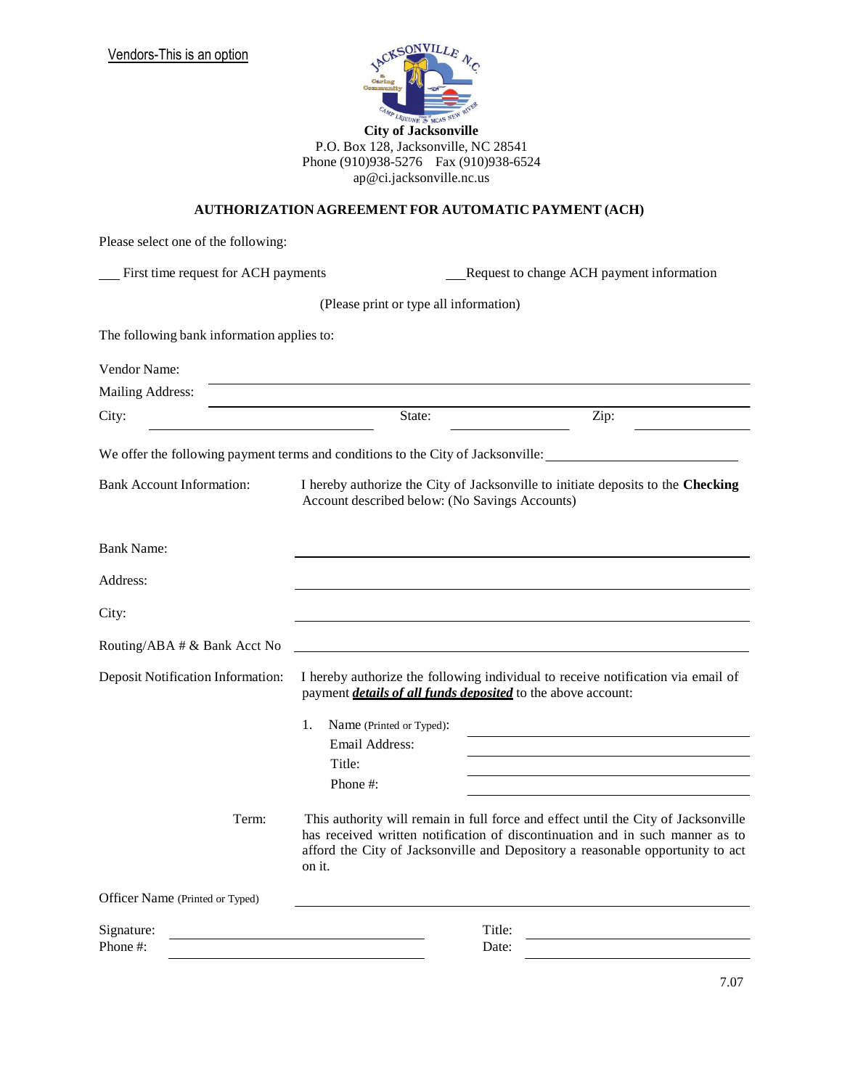

P.O. Box 128, Jacksonville, NC 28541 Phone (910)938-5276 Fax (910)938-6524 [ap@ci.jacksonville.nc.us](mailto:ap@ci.jacksonville.nc.us)

## **AUTHORIZATION AGREEMENT FOR AUTOMATIC PAYMENT (ACH)**

| Please select one of the following:        |                                                |                                                                                                                                                                                                                                                       |  |
|--------------------------------------------|------------------------------------------------|-------------------------------------------------------------------------------------------------------------------------------------------------------------------------------------------------------------------------------------------------------|--|
| First time request for ACH payments        |                                                | Request to change ACH payment information                                                                                                                                                                                                             |  |
|                                            | (Please print or type all information)         |                                                                                                                                                                                                                                                       |  |
| The following bank information applies to: |                                                |                                                                                                                                                                                                                                                       |  |
| Vendor Name:                               |                                                |                                                                                                                                                                                                                                                       |  |
| <b>Mailing Address:</b>                    |                                                |                                                                                                                                                                                                                                                       |  |
| City:                                      | State:                                         | Zip:                                                                                                                                                                                                                                                  |  |
|                                            |                                                | We offer the following payment terms and conditions to the City of Jacksonville:                                                                                                                                                                      |  |
| <b>Bank Account Information:</b>           | Account described below: (No Savings Accounts) | I hereby authorize the City of Jacksonville to initiate deposits to the Checking                                                                                                                                                                      |  |
| <b>Bank Name:</b>                          |                                                |                                                                                                                                                                                                                                                       |  |
| Address:                                   |                                                |                                                                                                                                                                                                                                                       |  |
| City:                                      |                                                |                                                                                                                                                                                                                                                       |  |
| Routing/ABA # & Bank Acct No               |                                                |                                                                                                                                                                                                                                                       |  |
| <b>Deposit Notification Information:</b>   |                                                | I hereby authorize the following individual to receive notification via email of<br>payment <i>details of all funds deposited</i> to the above account:                                                                                               |  |
|                                            | 1.<br>Name (Printed or Typed):                 |                                                                                                                                                                                                                                                       |  |
|                                            | Email Address:                                 |                                                                                                                                                                                                                                                       |  |
|                                            | Title:                                         |                                                                                                                                                                                                                                                       |  |
|                                            | Phone #:                                       |                                                                                                                                                                                                                                                       |  |
| Term:                                      | on it.                                         | This authority will remain in full force and effect until the City of Jacksonville<br>has received written notification of discontinuation and in such manner as to<br>afford the City of Jacksonville and Depository a reasonable opportunity to act |  |
| Officer Name (Printed or Typed)            |                                                |                                                                                                                                                                                                                                                       |  |
| Signature:<br>Phone #:                     |                                                | Title:<br>Date:                                                                                                                                                                                                                                       |  |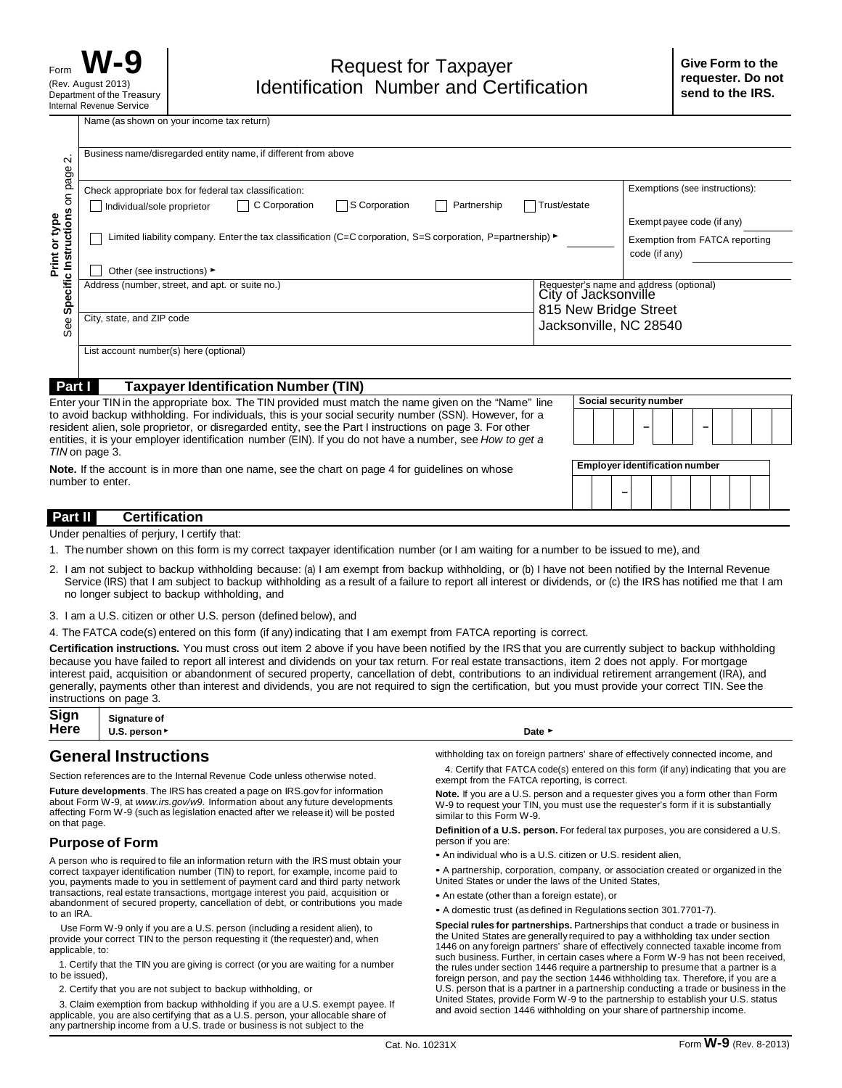Name (as shown on your income tax return)

| $\mathbf{\Omega}$                                                                                                                                                                                                                                                                                                                                                                                                |                                                                                                                                                                        | Business name/disregarded entity name, if different from above                                                                                                                                                                                                                                                                                                                                                                                                                                                                                                                                                                                           |                                                                                                                                                                                                                                                                                                                                             |              |  |  |                                                 |  |  |  |                               |  |  |
|------------------------------------------------------------------------------------------------------------------------------------------------------------------------------------------------------------------------------------------------------------------------------------------------------------------------------------------------------------------------------------------------------------------|------------------------------------------------------------------------------------------------------------------------------------------------------------------------|----------------------------------------------------------------------------------------------------------------------------------------------------------------------------------------------------------------------------------------------------------------------------------------------------------------------------------------------------------------------------------------------------------------------------------------------------------------------------------------------------------------------------------------------------------------------------------------------------------------------------------------------------------|---------------------------------------------------------------------------------------------------------------------------------------------------------------------------------------------------------------------------------------------------------------------------------------------------------------------------------------------|--------------|--|--|-------------------------------------------------|--|--|--|-------------------------------|--|--|
|                                                                                                                                                                                                                                                                                                                                                                                                                  |                                                                                                                                                                        |                                                                                                                                                                                                                                                                                                                                                                                                                                                                                                                                                                                                                                                          |                                                                                                                                                                                                                                                                                                                                             |              |  |  |                                                 |  |  |  |                               |  |  |
|                                                                                                                                                                                                                                                                                                                                                                                                                  |                                                                                                                                                                        | Check appropriate box for federal tax classification:                                                                                                                                                                                                                                                                                                                                                                                                                                                                                                                                                                                                    |                                                                                                                                                                                                                                                                                                                                             |              |  |  | Exemptions (see instructions):                  |  |  |  |                               |  |  |
|                                                                                                                                                                                                                                                                                                                                                                                                                  |                                                                                                                                                                        | S Corporation<br>C Corporation<br>Individual/sole proprietor                                                                                                                                                                                                                                                                                                                                                                                                                                                                                                                                                                                             | Partnership                                                                                                                                                                                                                                                                                                                                 | Trust/estate |  |  |                                                 |  |  |  |                               |  |  |
|                                                                                                                                                                                                                                                                                                                                                                                                                  |                                                                                                                                                                        |                                                                                                                                                                                                                                                                                                                                                                                                                                                                                                                                                                                                                                                          |                                                                                                                                                                                                                                                                                                                                             |              |  |  | Exempt payee code (if any)                      |  |  |  |                               |  |  |
| Specific Instructions on page<br>Print or type                                                                                                                                                                                                                                                                                                                                                                   |                                                                                                                                                                        | Limited liability company. Enter the tax classification (C=C corporation, S=S corporation, P=partnership) $\blacktriangleright$                                                                                                                                                                                                                                                                                                                                                                                                                                                                                                                          |                                                                                                                                                                                                                                                                                                                                             |              |  |  | Exemption from FATCA reporting<br>code (if any) |  |  |  |                               |  |  |
|                                                                                                                                                                                                                                                                                                                                                                                                                  |                                                                                                                                                                        | Other (see instructions) ►                                                                                                                                                                                                                                                                                                                                                                                                                                                                                                                                                                                                                               |                                                                                                                                                                                                                                                                                                                                             |              |  |  |                                                 |  |  |  |                               |  |  |
|                                                                                                                                                                                                                                                                                                                                                                                                                  |                                                                                                                                                                        | Address (number, street, and apt. or suite no.)                                                                                                                                                                                                                                                                                                                                                                                                                                                                                                                                                                                                          |                                                                                                                                                                                                                                                                                                                                             |              |  |  |                                                 |  |  |  |                               |  |  |
|                                                                                                                                                                                                                                                                                                                                                                                                                  |                                                                                                                                                                        |                                                                                                                                                                                                                                                                                                                                                                                                                                                                                                                                                                                                                                                          | Requester's name and address (optional)<br>City of Jacksonville<br>815 New Bridge Street                                                                                                                                                                                                                                                    |              |  |  |                                                 |  |  |  |                               |  |  |
| $\ddot{\text{se}}$                                                                                                                                                                                                                                                                                                                                                                                               |                                                                                                                                                                        | City, state, and ZIP code                                                                                                                                                                                                                                                                                                                                                                                                                                                                                                                                                                                                                                |                                                                                                                                                                                                                                                                                                                                             |              |  |  | Jacksonville, NC 28540                          |  |  |  |                               |  |  |
|                                                                                                                                                                                                                                                                                                                                                                                                                  |                                                                                                                                                                        |                                                                                                                                                                                                                                                                                                                                                                                                                                                                                                                                                                                                                                                          |                                                                                                                                                                                                                                                                                                                                             |              |  |  |                                                 |  |  |  |                               |  |  |
|                                                                                                                                                                                                                                                                                                                                                                                                                  |                                                                                                                                                                        | List account number(s) here (optional)                                                                                                                                                                                                                                                                                                                                                                                                                                                                                                                                                                                                                   |                                                                                                                                                                                                                                                                                                                                             |              |  |  |                                                 |  |  |  |                               |  |  |
| Part I                                                                                                                                                                                                                                                                                                                                                                                                           |                                                                                                                                                                        | <b>Taxpayer Identification Number (TIN)</b>                                                                                                                                                                                                                                                                                                                                                                                                                                                                                                                                                                                                              |                                                                                                                                                                                                                                                                                                                                             |              |  |  |                                                 |  |  |  |                               |  |  |
|                                                                                                                                                                                                                                                                                                                                                                                                                  |                                                                                                                                                                        | Enter your TIN in the appropriate box. The TIN provided must match the name given on the "Name" line<br>to avoid backup withholding. For individuals, this is your social security number (SSN). However, for a                                                                                                                                                                                                                                                                                                                                                                                                                                          |                                                                                                                                                                                                                                                                                                                                             |              |  |  | Social security number                          |  |  |  |                               |  |  |
|                                                                                                                                                                                                                                                                                                                                                                                                                  |                                                                                                                                                                        | resident alien, sole proprietor, or disregarded entity, see the Part I instructions on page 3. For other                                                                                                                                                                                                                                                                                                                                                                                                                                                                                                                                                 |                                                                                                                                                                                                                                                                                                                                             |              |  |  |                                                 |  |  |  |                               |  |  |
| TIN on page 3.                                                                                                                                                                                                                                                                                                                                                                                                   |                                                                                                                                                                        | entities, it is your employer identification number (EIN). If you do not have a number, see How to get a                                                                                                                                                                                                                                                                                                                                                                                                                                                                                                                                                 |                                                                                                                                                                                                                                                                                                                                             |              |  |  |                                                 |  |  |  |                               |  |  |
|                                                                                                                                                                                                                                                                                                                                                                                                                  |                                                                                                                                                                        | <b>Note.</b> If the account is in more than one name, see the chart on page 4 for guidelines on whose                                                                                                                                                                                                                                                                                                                                                                                                                                                                                                                                                    |                                                                                                                                                                                                                                                                                                                                             |              |  |  | <b>Employer identification number</b>           |  |  |  |                               |  |  |
| number to enter.                                                                                                                                                                                                                                                                                                                                                                                                 |                                                                                                                                                                        |                                                                                                                                                                                                                                                                                                                                                                                                                                                                                                                                                                                                                                                          |                                                                                                                                                                                                                                                                                                                                             |              |  |  |                                                 |  |  |  |                               |  |  |
|                                                                                                                                                                                                                                                                                                                                                                                                                  |                                                                                                                                                                        |                                                                                                                                                                                                                                                                                                                                                                                                                                                                                                                                                                                                                                                          |                                                                                                                                                                                                                                                                                                                                             |              |  |  |                                                 |  |  |  |                               |  |  |
| Part II                                                                                                                                                                                                                                                                                                                                                                                                          |                                                                                                                                                                        | <b>Certification</b>                                                                                                                                                                                                                                                                                                                                                                                                                                                                                                                                                                                                                                     |                                                                                                                                                                                                                                                                                                                                             |              |  |  |                                                 |  |  |  |                               |  |  |
|                                                                                                                                                                                                                                                                                                                                                                                                                  |                                                                                                                                                                        | Under penalties of perjury, I certify that:                                                                                                                                                                                                                                                                                                                                                                                                                                                                                                                                                                                                              |                                                                                                                                                                                                                                                                                                                                             |              |  |  |                                                 |  |  |  |                               |  |  |
|                                                                                                                                                                                                                                                                                                                                                                                                                  |                                                                                                                                                                        | 1. The number shown on this form is my correct taxpayer identification number (or I am waiting for a number to be issued to me), and                                                                                                                                                                                                                                                                                                                                                                                                                                                                                                                     |                                                                                                                                                                                                                                                                                                                                             |              |  |  |                                                 |  |  |  |                               |  |  |
|                                                                                                                                                                                                                                                                                                                                                                                                                  |                                                                                                                                                                        | 2. I am not subject to backup withholding because: (a) I am exempt from backup withholding, or (b) I have not been notified by the Internal Revenue<br>Service (IRS) that I am subject to backup withholding as a result of a failure to report all interest or dividends, or (c) the IRS has notified me that I am<br>no longer subject to backup withholding, and                                                                                                                                                                                                                                                                                      |                                                                                                                                                                                                                                                                                                                                             |              |  |  |                                                 |  |  |  |                               |  |  |
|                                                                                                                                                                                                                                                                                                                                                                                                                  |                                                                                                                                                                        | 3. I am a U.S. citizen or other U.S. person (defined below), and                                                                                                                                                                                                                                                                                                                                                                                                                                                                                                                                                                                         |                                                                                                                                                                                                                                                                                                                                             |              |  |  |                                                 |  |  |  |                               |  |  |
|                                                                                                                                                                                                                                                                                                                                                                                                                  |                                                                                                                                                                        | 4. The FATCA code(s) entered on this form (if any) indicating that I am exempt from FATCA reporting is correct.                                                                                                                                                                                                                                                                                                                                                                                                                                                                                                                                          |                                                                                                                                                                                                                                                                                                                                             |              |  |  |                                                 |  |  |  |                               |  |  |
|                                                                                                                                                                                                                                                                                                                                                                                                                  |                                                                                                                                                                        | Certification instructions. You must cross out item 2 above if you have been notified by the IRS that you are currently subject to backup withholding<br>because you have failed to report all interest and dividends on your tax return. For real estate transactions, item 2 does not apply. For mortgage<br>interest paid, acquisition or abandonment of secured property, cancellation of debt, contributions to an individual retirement arrangement (IRA), and<br>generally, payments other than interest and dividends, you are not required to sign the certification, but you must provide your correct TIN. See the<br>instructions on page 3. |                                                                                                                                                                                                                                                                                                                                             |              |  |  |                                                 |  |  |  |                               |  |  |
| Sign<br>Here                                                                                                                                                                                                                                                                                                                                                                                                     | Signature of<br>U.S. person ▶<br>Date ▶                                                                                                                                |                                                                                                                                                                                                                                                                                                                                                                                                                                                                                                                                                                                                                                                          |                                                                                                                                                                                                                                                                                                                                             |              |  |  |                                                 |  |  |  |                               |  |  |
|                                                                                                                                                                                                                                                                                                                                                                                                                  |                                                                                                                                                                        |                                                                                                                                                                                                                                                                                                                                                                                                                                                                                                                                                                                                                                                          | withholding tax on foreign partners' share of effectively connected income, and                                                                                                                                                                                                                                                             |              |  |  |                                                 |  |  |  |                               |  |  |
|                                                                                                                                                                                                                                                                                                                                                                                                                  |                                                                                                                                                                        | <b>General Instructions</b><br>Section references are to the Internal Revenue Code unless otherwise noted.                                                                                                                                                                                                                                                                                                                                                                                                                                                                                                                                               | 4. Certify that FATCA code(s) entered on this form (if any) indicating that you are                                                                                                                                                                                                                                                         |              |  |  |                                                 |  |  |  |                               |  |  |
|                                                                                                                                                                                                                                                                                                                                                                                                                  |                                                                                                                                                                        |                                                                                                                                                                                                                                                                                                                                                                                                                                                                                                                                                                                                                                                          | exempt from the FATCA reporting, is correct.                                                                                                                                                                                                                                                                                                |              |  |  |                                                 |  |  |  |                               |  |  |
| <b>Future developments.</b> The IRS has created a page on IRS.gov for information<br>about Form W-9, at <i>www.irs.gov/w9.</i> Information about any future developments<br>affecting Form W-9 (such as legislation enacted after we release it) will be posted                                                                                                                                                  |                                                                                                                                                                        |                                                                                                                                                                                                                                                                                                                                                                                                                                                                                                                                                                                                                                                          | Note. If you are a U.S. person and a requester gives you a form other than Form<br>W-9 to request your TIN, you must use the requester's form if it is substantially<br>similar to this Form W-9.                                                                                                                                           |              |  |  |                                                 |  |  |  |                               |  |  |
| on that page.                                                                                                                                                                                                                                                                                                                                                                                                    |                                                                                                                                                                        | <b>Purpose of Form</b>                                                                                                                                                                                                                                                                                                                                                                                                                                                                                                                                                                                                                                   | <b>Definition of a U.S. person.</b> For federal tax purposes, you are considered a U.S.<br>person if you are:                                                                                                                                                                                                                               |              |  |  |                                                 |  |  |  |                               |  |  |
|                                                                                                                                                                                                                                                                                                                                                                                                                  |                                                                                                                                                                        | A person who is required to file an information return with the IRS must obtain your                                                                                                                                                                                                                                                                                                                                                                                                                                                                                                                                                                     | • An individual who is a U.S. citizen or U.S. resident alien,                                                                                                                                                                                                                                                                               |              |  |  |                                                 |  |  |  |                               |  |  |
|                                                                                                                                                                                                                                                                                                                                                                                                                  |                                                                                                                                                                        | correct taxpayer identification number (TIN) to report, for example, income paid to<br>you, payments made to you in settlement of payment card and third party network                                                                                                                                                                                                                                                                                                                                                                                                                                                                                   | • A partnership, corporation, company, or association created or organized in the<br>United States or under the laws of the United States,                                                                                                                                                                                                  |              |  |  |                                                 |  |  |  |                               |  |  |
|                                                                                                                                                                                                                                                                                                                                                                                                                  | transactions, real estate transactions, mortgage interest you paid, acquisition or<br>abandonment of secured property, cancellation of debt, or contributions you made |                                                                                                                                                                                                                                                                                                                                                                                                                                                                                                                                                                                                                                                          | • An estate (other than a foreign estate), or                                                                                                                                                                                                                                                                                               |              |  |  |                                                 |  |  |  |                               |  |  |
| to an IRA.                                                                                                                                                                                                                                                                                                                                                                                                       |                                                                                                                                                                        |                                                                                                                                                                                                                                                                                                                                                                                                                                                                                                                                                                                                                                                          | • A domestic trust (as defined in Regulations section 301.7701-7).                                                                                                                                                                                                                                                                          |              |  |  |                                                 |  |  |  |                               |  |  |
| applicable, to:                                                                                                                                                                                                                                                                                                                                                                                                  |                                                                                                                                                                        | Use Form W-9 only if you are a U.S. person (including a resident alien), to<br>provide your correct TIN to the person requesting it (the requester) and, when                                                                                                                                                                                                                                                                                                                                                                                                                                                                                            | Special rules for partnerships. Partnerships that conduct a trade or business in<br>the United States are generally required to pay a withholding tax under section<br>1446 on any foreign partners' share of effectively connected taxable income from<br>such business. Further, in certain cases where a Form W-9 has not been received, |              |  |  |                                                 |  |  |  |                               |  |  |
| to be issued),                                                                                                                                                                                                                                                                                                                                                                                                   |                                                                                                                                                                        | 1. Certify that the TIN you are giving is correct (or you are waiting for a number                                                                                                                                                                                                                                                                                                                                                                                                                                                                                                                                                                       | the rules under section 1446 require a partnership to presume that a partner is a<br>foreign person, and pay the section 1446 withholding tax. Therefore, if you are a                                                                                                                                                                      |              |  |  |                                                 |  |  |  |                               |  |  |
|                                                                                                                                                                                                                                                                                                                                                                                                                  |                                                                                                                                                                        | 2. Certify that you are not subject to backup withholding, or                                                                                                                                                                                                                                                                                                                                                                                                                                                                                                                                                                                            | U.S. person that is a partner in a partnership conducting a trade or business in the                                                                                                                                                                                                                                                        |              |  |  |                                                 |  |  |  |                               |  |  |
| United States, provide Form W-9 to the partnership to establish your U.S. status<br>3. Claim exemption from backup withholding if you are a U.S. exempt payee. If<br>and avoid section 1446 withholding on your share of partnership income.<br>applicable, you are also certifying that as a U.S. person, your allocable share of<br>any partnership income from a U.S. trade or business is not subject to the |                                                                                                                                                                        |                                                                                                                                                                                                                                                                                                                                                                                                                                                                                                                                                                                                                                                          |                                                                                                                                                                                                                                                                                                                                             |              |  |  |                                                 |  |  |  |                               |  |  |
|                                                                                                                                                                                                                                                                                                                                                                                                                  |                                                                                                                                                                        | Cat. No. 10231X                                                                                                                                                                                                                                                                                                                                                                                                                                                                                                                                                                                                                                          |                                                                                                                                                                                                                                                                                                                                             |              |  |  |                                                 |  |  |  | Form <b>W-9</b> (Rev. 8-2013) |  |  |

## **Part II Certification**

- 1. The number shown on this form is my correct taxpayer identification number (or I am waiting for a number to be issued to me), and
- 2. I am not subject to backup withholding because: (a) I am exempt from backup withholding, or (b) I have not been notified by the Internal Revenue Service (IRS) that I am subject to backup withholding as a result of a failure to report all interest or dividends, or (c) the IRS has notified me that I am no longer subject to backup withholding, and
- 3. I am a U.S. citizen or other U.S. person (defined below), and
- 4. The FATCA code(s) entered on this form (if any) indicating that I am exempt from FATCA reporting is correct.

| Sign | Signature of    |      |
|------|-----------------|------|
| Here | person ►<br>v.v | Date |
|      |                 |      |

## **General Instructions**

## **Purpose of Form**

- An estate (other than a foreign estate), or
- A domestic trust (as defined in Regulations section 301.7701-7).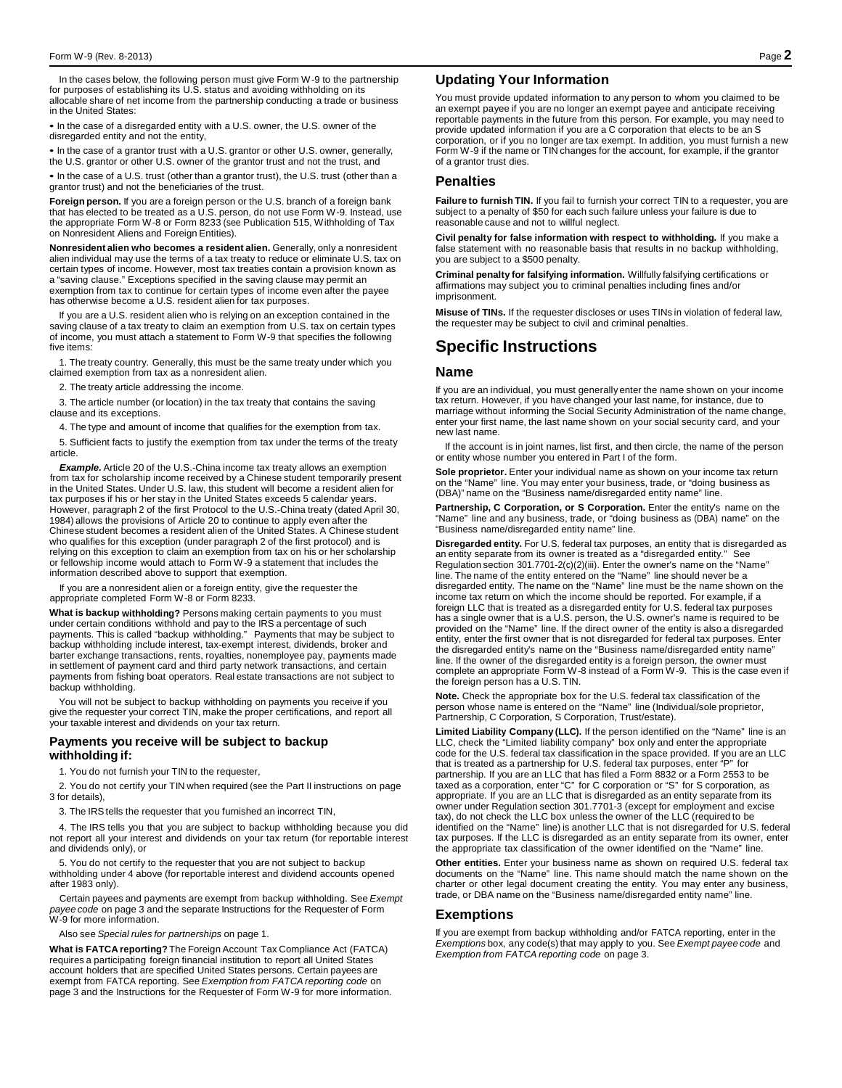In the cases below, the following person must give Form W-9 to the partnership for purposes of establishing its U.S. status and avoiding withholding on its allocable share of net income from the partnership conducting a trade or business in the United States:

• In the case of a disregarded entity with a U.S. owner, the U.S. owner of the disregarded entity and not the entity,

• In the case of a grantor trust with a U.S. grantor or other U.S. owner, generally, the U.S. grantor or other U.S. owner of the grantor trust and not the trust, and

• In the case of a U.S. trust (other than a grantor trust), the U.S. trust (other than a grantor trust) and not the beneficiaries of the trust.

**Foreign person.** If you are a foreign person or the U.S. branch of a foreign bank that has elected to be treated as a U.S. person, do not use Form W-9. Instead, use the appropriate Form W-8 or Form 8233 (see Publication 515, Withholding of Tax on Nonresident Aliens and Foreign Entities).

**Nonresident alien who becomes a resident alien.** Generally, only a nonresident alien individual may use the terms of a tax treaty to reduce or eliminate U.S. tax on certain types of income. However, most tax treaties contain a provision known as a "saving clause." Exceptions specified in the saving clause may permit an exemption from tax to continue for certain types of income even after the payee has otherwise become a U.S. resident alien for tax purposes.

If you are a U.S. resident alien who is relying on an exception contained in the saving clause of a tax treaty to claim an exemption from U.S. tax on certain types of income, you must attach a statement to Form W-9 that specifies the following five items:

1. The treaty country. Generally, this must be the same treaty under which you claimed exemption from tax as a nonresident alien.

2. The treaty article addressing the income.

3. The article number (or location) in the tax treaty that contains the saving clause and its exceptions.

4. The type and amount of income that qualifies for the exemption from tax.

5. Sufficient facts to justify the exemption from tax under the terms of the treaty article.

**Example.** Article 20 of the U.S.-China income tax treaty allows an exemption from tax for scholarship income received by a Chinese student temporarily present in the United States. Under U.S. law, this student will become a resident alien for tax purposes if his or her stay in the United States exceeds 5 calendar years. However, paragraph 2 of the first Protocol to the U.S.-China treaty (dated April 30, 1984) allows the provisions of Article 20 to continue to apply even after the Chinese student becomes a resident alien of the United States. A Chinese student who qualifies for this exception (under paragraph 2 of the first protocol) and is relying on this exception to claim an exemption from tax on his or her scholarship or fellowship income would attach to Form W-9 a statement that includes the information described above to support that exemption.

If you are a nonresident alien or a foreign entity, give the requester the appropriate completed Form W-8 or Form 8233.

**What is backup withholding?** Persons making certain payments to you must under certain conditions withhold and pay to the IRS a percentage of such payments. This is called "backup withholding." Payments that may be subject to backup withholding include interest, tax-exempt interest, dividends, broker and barter exchange transactions, rents, royalties, nonemployee pay, payments made in settlement of payment card and third party network transactions, and certain payments from fishing boat operators. Real estate transactions are not subject to backup withholding.

You will not be subject to backup withholding on payments you receive if you give the requester your correct TIN, make the proper certifications, and report all your taxable interest and dividends on your tax return.

#### **Payments you receive will be subject to backup withholding if:**

1. You do not furnish your TIN to the requester,

2. You do not certify your TIN when required (see the Part II instructions on page 3 for details),

3. The IRS tells the requester that you furnished an incorrect TIN,

4. The IRS tells you that you are subject to backup withholding because you did not report all your interest and dividends on your tax return (for reportable interest and dividends only), or

5. You do not certify to the requester that you are not subject to backup withholding under 4 above (for reportable interest and dividend accounts opened after 1983 only).

Certain payees and payments are exempt from backup withholding. See *Exempt payee code* on page 3 and the separate Instructions for the Requester of Form W-9 for more information.

Also see *Special rules for partnerships* on page 1.

**What is FATCA reporting?** The Foreign Account Tax Compliance Act (FATCA) requires a participating foreign financial institution to report all United States account holders that are specified United States persons. Certain payees are exempt from FATCA reporting. See *Exemption from FATCA reporting code* on page 3 and the Instructions for the Requester of Form W-9 for more information.

### **Updating Your Information**

You must provide updated information to any person to whom you claimed to be an exempt payee if you are no longer an exempt payee and anticipate receiving reportable payments in the future from this person. For example, you may need to provide updated information if you are a C corporation that elects to be an S corporation, or if you no longer are tax exempt. In addition, you must furnish a new Form W-9 if the name or TIN changes for the account, for example, if the grantor of a grantor trust dies.

## **Penalties**

**Failure to furnish TIN.** If you fail to furnish your correct TIN to a requester, you are subject to a penalty of \$50 for each such failure unless your failure is due to reasonable cause and not to willful neglect.

**Civil penalty for false information with respect to withholding.** If you make a false statement with no reasonable basis that results in no backup withholding, you are subject to a \$500 penalty.

**Criminal penalty for falsifying information.** Willfully falsifying certifications or affirmations may subject you to criminal penalties including fines and/or imprisonment.

**Misuse of TINs.** If the requester discloses or uses TINs in violation of federal law, the requester may be subject to civil and criminal penalties.

# **Specific Instructions**

#### **Name**

If you are an individual, you must generally enter the name shown on your income tax return. However, if you have changed your last name, for instance, due to marriage without informing the Social Security Administration of the name change, enter your first name, the last name shown on your social security card, and your new last name.

If the account is in joint names, list first, and then circle, the name of the person or entity whose number you entered in Part I of the form.

**Sole proprietor.** Enter your individual name as shown on your income tax return on the "Name" line. You may enter your business, trade, or "doing business as (DBA)" name on the "Business name/disregarded entity name" line.

Partnership, C Corporation, or S Corporation. Enter the entity's name on the "Name" line and any business, trade, or "doing business as (DBA) name" on the "Business name/disregarded entity name" line.

**Disregarded entity.** For U.S. federal tax purposes, an entity that is disregarded as an entity separate from its owner is treated as a "disregarded entity." See Regulation section 301.7701-2(c)(2)(iii). Enter the owner's name on the "Name" line. The name of the entity entered on the "Name" line should never be a disregarded entity. The name on the "Name" line must be the name shown on the income tax return on which the income should be reported. For example, if a foreign LLC that is treated as a disregarded entity for U.S. federal tax purposes has a single owner that is a U.S. person, the U.S. owner's name is required to be provided on the "Name" line. If the direct owner of the entity is also a disregarded entity, enter the first owner that is not disregarded for federal tax purposes. Enter the disregarded entity's name on the "Business name/disregarded entity name" line. If the owner of the disregarded entity is a foreign person, the owner must complete an appropriate Form W-8 instead of a Form W-9. This is the case even if the foreign person has a U.S. TIN.

**Note.** Check the appropriate box for the U.S. federal tax classification of the person whose name is entered on the "Name" line (Individual/sole proprietor, Partnership, C Corporation, S Corporation, Trust/estate).

**Limited Liability Company (LLC).** If the person identified on the "Name" line is an LLC, check the "Limited liability company" box only and enter the appropriate code for the U.S. federal tax classification in the space provided. If you are an LLC that is treated as a partnership for U.S. federal tax purposes, enter "P" for partnership. If you are an LLC that has filed a Form 8832 or a Form 2553 to be taxed as a corporation, enter "C" for C corporation or "S" for S corporation, as appropriate. If you are an LLC that is disregarded as an entity separate from its<br>owner under Regulation section 301.7701-3 (except for employment and excise<br>tax), do not check the LLC box unless the owner of the LLC (requ identified on the "Name" line) is another LLC that is not disregarded for U.S. federal tax purposes. If the LLC is disregarded as an entity separate from its owner, enter the appropriate tax classification of the owner identified on the "Name" line.

**Other entities.** Enter your business name as shown on required U.S. federal tax documents on the "Name" line. This name should match the name shown on the charter or other legal document creating the entity. You may enter any business, trade, or DBA name on the "Business name/disregarded entity name" line.

#### **Exemptions**

If you are exempt from backup withholding and/or FATCA reporting, enter in the *Exemptions* box, any code(s) that may apply to you. See *Exempt payee code* and *Exemption from FATCA reporting code* on page 3.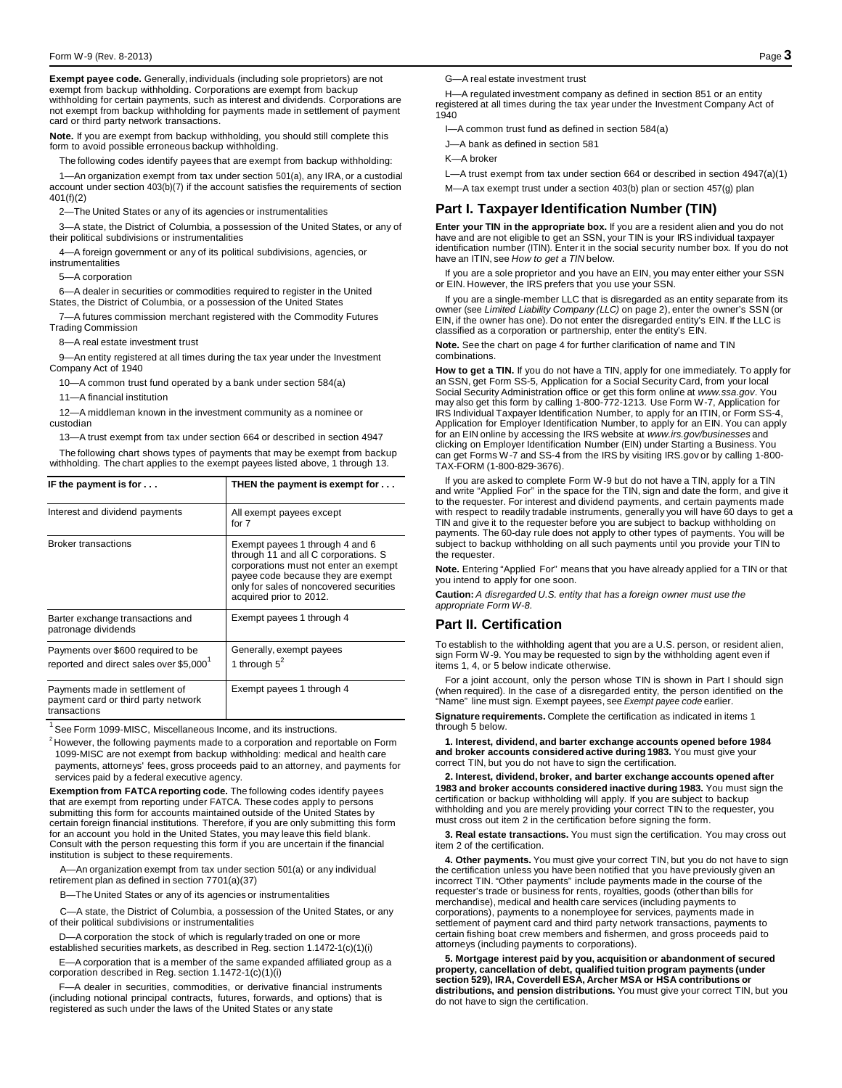**Exempt payee code.** Generally, individuals (including sole proprietors) are not exempt from backup withholding. Corporations are exempt from backup withholding for certain payments, such as interest and dividends. Corporations are not exempt from backup withholding for payments made in settlement of payment card or third party network transactions.

**Note.** If you are exempt from backup withholding, you should still complete this form to avoid possible erroneous backup withholding.

The following codes identify payees that are exempt from backup withholding:

1—An organization exempt from tax under section 501(a), any IRA, or a custodial account under section 403(b)(7) if the account satisfies the requirements of section 401(f)(2)

2—The United States or any of its agencies or instrumentalities

3—A state, the District of Columbia, a possession of the United States, or any of their political subdivisions or instrumentalities

4—A foreign government or any of its political subdivisions, agencies, or instrumentalities

5—A corporation

6—A dealer in securities or commodities required to register in the United States, the District of Columbia, or a possession of the United States

7—A futures commission merchant registered with the Commodity Futures Trading Commission

8—A real estate investment trust

9—An entity registered at all times during the tax year under the Investment Company Act of 1940

10—A common trust fund operated by a bank under section 584(a)

11—A financial institution

12—A middleman known in the investment community as a nominee or custodian

13—A trust exempt from tax under section 664 or described in section 4947

The following chart shows types of payments that may be exempt from backup withholding. The chart applies to the exempt payees listed above, 1 through 13.

| IF the payment is for $\dots$                                                             | THEN the payment is exempt for $\dots$                                                                                                                                                                                       |
|-------------------------------------------------------------------------------------------|------------------------------------------------------------------------------------------------------------------------------------------------------------------------------------------------------------------------------|
| Interest and dividend payments                                                            | All exempt payees except<br>for 7                                                                                                                                                                                            |
| <b>Broker transactions</b>                                                                | Exempt payees 1 through 4 and 6<br>through 11 and all C corporations. S<br>corporations must not enter an exempt<br>payee code because they are exempt<br>only for sales of noncovered securities<br>acquired prior to 2012. |
| Barter exchange transactions and<br>patronage dividends                                   | Exempt payees 1 through 4                                                                                                                                                                                                    |
| Payments over \$600 required to be<br>reported and direct sales over \$5,000 <sup>1</sup> | Generally, exempt payees<br>1 through $5^2$                                                                                                                                                                                  |
| Payments made in settlement of<br>payment card or third party network<br>transactions     | Exempt payees 1 through 4                                                                                                                                                                                                    |

<sup>1</sup> See Form 1099-MISC, Miscellaneous Income, and its instructions.<br><sup>2</sup> However, the following payments made to a corporation and reportable on Form 1099-MISC are not exempt from backup withholding: medical and health care payments, attorneys' fees, gross proceeds paid to an attorney, and payments for services paid by a federal executive agency.

**Exemption from FATCA reporting code.** The following codes identify payees that are exempt from reporting under FATCA. These codes apply to persons submitting this form for accounts maintained outside of the United States by certain foreign financial institutions. Therefore, if you are only submitting this form for an account you hold in the United States, you may leave this field blank. Consult with the person requesting this form if you are uncertain if the financial institution is subject to these requirements.

A—An organization exempt from tax under section 501(a) or any individual retirement plan as defined in section 7701(a)(37)

B—The United States or any of its agencies or instrumentalities

-A state, the District of Columbia, a possession of the United States, or any of their political subdivisions or instrumentalities

D—A corporation the stock of which is regularly traded on one or more established securities markets, as described in Reg. section 1.1472-1(c)(1)(i)

E—A corporation that is a member of the same expanded affiliated group as a corporation described in Reg. section 1.1472-1(c)(1)(i)

F—A dealer in securities, commodities, or derivative financial instruments (including notional principal contracts, futures, forwards, and options) that is registered as such under the laws of the United States or any state

G—A real estate investment trust

H—A regulated investment company as defined in section 851 or an entity registered at all times during the tax year under the Investment Company Act of 1940

I—A common trust fund as defined in section 584(a)

J—A bank as defined in section 581

K—A broker

L—A trust exempt from tax under section 664 or described in section 4947(a)(1)

M—A tax exempt trust under a section 403(b) plan or section 457(g) plan

## **Part I. Taxpayer Identification Number (TIN)**

**Enter your TIN in the appropriate box.** If you are a resident alien and you do not have and are not eligible to get an SSN, your TIN is your IRS individual taxpayer identification number (ITIN). Enter it in the social security number box. If you do not have an ITIN, see *How to get a TIN* below.

If you are a sole proprietor and you have an EIN, you may enter either your SSN or EIN. However, the IRS prefers that you use your SSN.

If you are a single-member LLC that is disregarded as an entity separate from its owner (see *Limited Liability Company (LLC)* on page 2), enter the owner's SSN (or EIN, if the owner has one). Do not enter the disregarded entity's EIN. If the LLC is classified as a corporation or partnership, enter the entity's EIN.

**Note.** See the chart on page 4 for further clarification of name and TIN combinations.

**How to get a TIN.** If you do not have a TIN, apply for one immediately. To apply for an SSN, get Form SS-5, Application for a Social Security Card, from your local Social Security Administration office or get this form online at *[www.ssa.gov](http://www.ssa.gov/)*. You may also get this form by calling 1-800-772-1213. Use Form W-7, Application for IRS Individual Taxpayer Identification Number, to apply for an ITIN, or Form SS-4, Application for Employer Identification Number, to apply for an EIN. You can apply for an EIN online by accessing the IRS website at *[www.irs.gov/businesses](http://www.irs.gov/businesses)* and clicking on Employer Identification Number (EIN) under Starting a Business. You can get Forms W-7 and SS-4 from the IRS by visiting IRS.gov or by calling 1-800- TAX-FORM (1-800-829-3676).

If you are asked to complete Form W-9 but do not have a TIN, apply for a TIN and write "Applied For" in the space for the TIN, sign and date the form, and give it to the requester. For interest and dividend payments, and certain payments made with respect to readily tradable instruments, generally you will have 60 days to get a TIN and give it to the requester before you are subject to backup withholding on payments. The 60-day rule does not apply to other types of payments. You will be subject to backup withholding on all such payments until you provide your TIN to the requester.

**Note.** Entering "Applied For" means that you have already applied for a TIN or that you intend to apply for one soon.

**Caution:** *A disregarded U.S. entity that has a foreign owner must use the appropriate Form W-8.*

### **Part II. Certification**

To establish to the withholding agent that you are a U.S. person, or resident alien, sign Form W-9. You may be requested to sign by the withholding agent even if items 1, 4, or 5 below indicate otherwise.

For a joint account, only the person whose TIN is shown in Part I should sign (when required). In the case of a disregarded entity, the person identified on the "Name" line must sign. Exempt payees, see *Exempt payee code* earlier.

**Signature requirements.** Complete the certification as indicated in items 1 through 5 below.

**1. Interest, dividend, and barter exchange accounts opened before 1984 and broker accounts considered active during 1983.** You must give your correct TIN, but you do not have to sign the certification.

**2. Interest, dividend, broker, and barter exchange accounts opened after 1983 and broker accounts considered inactive during 1983.** You must sign the certification or backup withholding will apply. If you are subject to backup withholding and you are merely providing your correct TIN to the requester, you must cross out item 2 in the certification before signing the form.

**3. Real estate transactions.** You must sign the certification. You may cross out item 2 of the certification.

**4. Other payments.** You must give your correct TIN, but you do not have to sign the certification unless you have been notified that you have previously given an incorrect TIN. "Other payments" include payments made in the course of the requester's trade or business for rents, royalties, goods (other than bills for merchandise), medical and health care services (including payments to corporations), payments to a nonemployee for services, payments made in settlement of payment card and third party network transactions, payments to certain fishing boat crew members and fishermen, and gross proceeds paid to attorneys (including payments to corporations).

**5. Mortgage interest paid by you, acquisition or abandonment of secured property, cancellation of debt, qualified tuition program payments (under section 529), IRA, Coverdell ESA, Archer MSA or HSA contributions or distributions, and pension distributions.** You must give your correct TIN, but you do not have to sign the certification.